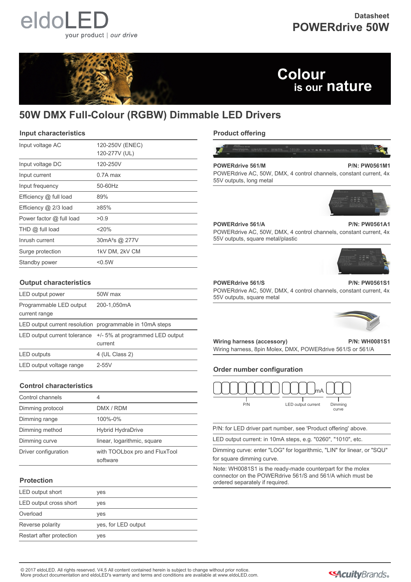

## **Datasheet POWERdrive 50W**



# Colour is our nature

# **50W DMX Full-Colour (RGBW) Dimmable LED Drivers**

#### **Input characteristics**

| Input voltage AC         | 120-250V (ENEC)            |
|--------------------------|----------------------------|
|                          | 120-277V (UL)              |
| Input voltage DC         | 120-250V                   |
| Input current            | $0.7A$ max                 |
| Input frequency          | 50-60Hz                    |
| Efficiency @ full load   | 89%                        |
| Efficiency $@$ 2/3 load  | ≥85%                       |
| Power factor @ full load | >0.9                       |
| $THD$ $@$ full load      | 20%                        |
| Inrush current           | 30mA <sup>2</sup> s @ 277V |
| Surge protection         | 1kV DM, 2kV CM             |
| Standby power            | < 0.5W                     |

#### **Output characteristics**

| LED output power                         | 50W max                                                  |
|------------------------------------------|----------------------------------------------------------|
| Programmable LED output<br>current range | 200-1,050mA                                              |
|                                          | LED output current resolution programmable in 10mA steps |
| LED output current tolerance             | +/- 5% at programmed LED output<br>current               |
| <b>LED</b> outputs                       | 4 (UL Class 2)                                           |
| LED output voltage range                 | $2-55V$                                                  |

#### **Control characteristics**

| Control channels     | 4                                         |
|----------------------|-------------------------------------------|
| Dimming protocol     | DMX / RDM                                 |
| Dimming range        | 100%-0%                                   |
| Dimming method       | <b>Hybrid HydraDrive</b>                  |
| Dimming curve        | linear, logarithmic, square               |
| Driver configuration | with TOOLbox pro and FluxTool<br>software |

#### **Protection**

| LED output short         | yes                 |
|--------------------------|---------------------|
| LED output cross short   | yes                 |
| Overload                 | yes                 |
| Reverse polarity         | yes, for LED output |
| Restart after protection | yes                 |

#### **Product offering**



**POWERdrive 561/M P/N: PW0561M1** POWERdrive AC, 50W, DMX, 4 control channels, constant current, 4x 55V outputs, long metal



#### **POWERdrive 561/A P/N: PW0561A1**

#### POWERdrive AC, 50W, DMX, 4 control channels, constant current, 4x 55V outputs, square metal/plastic



#### **POWERdrive 561/S P/N: PW0561S1**

POWERdrive AC, 50W, DMX, 4 control channels, constant current, 4x 55V outputs, square metal



### **Wiring harness (accessory) P/N: WH0081S1**

Wiring harness, 8pin Molex, DMX, POWERdrive 561/S or 561/A

#### **Order number configuration**



P/N: for LED driver part number, see 'Product offering' above.

LED output current: in 10mA steps, e.g. "0260", "1010", etc.

Dimming curve: enter "LOG" for logarithmic, "LIN" for linear, or "SQU" for square dimming curve.

Note: WH0081S1 is the ready-made counterpart for the molex connector on the POWERdrive 561/S and 561/A which must be ordered separately if required.

© 2017 eldoLED. All rights reserved. V4.5 All content contained herein is subject to change without prior notice. More product documentation and eldoLED's warranty and terms and conditions are available at www.eldoLED.com.